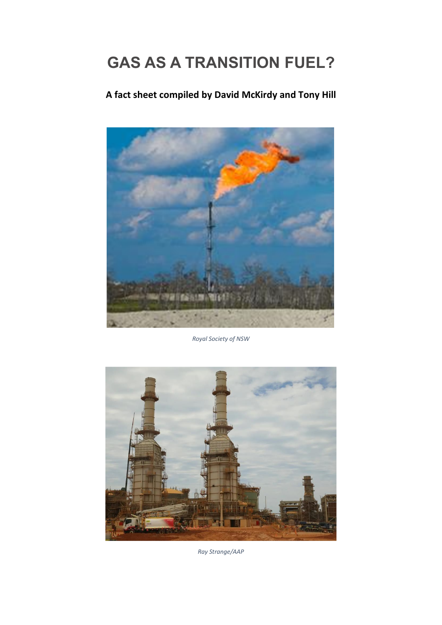# **GAS AS A TRANSITION FUEL?**

# **A fact sheet compiled by David McKirdy and Tony Hill**



*Royal Society of NSW*



*Ray Strange/AAP*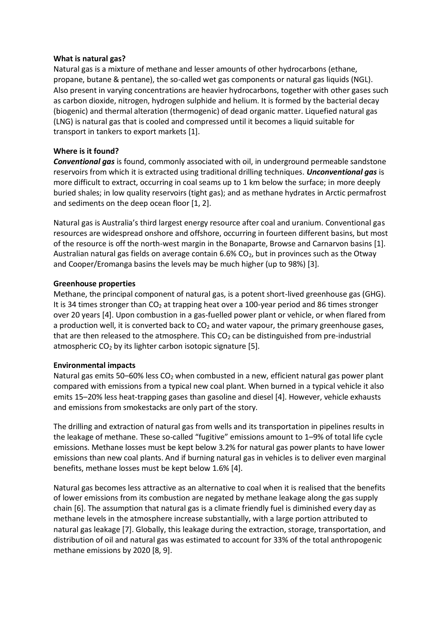# **What is natural gas?**

Natural gas is a mixture of methane and lesser amounts of other hydrocarbons (ethane, propane, butane & pentane), the so-called wet gas components or natural gas liquids (NGL). Also present in varying concentrations are heavier hydrocarbons, together with other gases such as carbon dioxide, nitrogen, hydrogen sulphide and helium. It is formed by the bacterial decay (biogenic) and thermal alteration (thermogenic) of dead organic matter. Liquefied natural gas (LNG) is natural gas that is cooled and compressed until it becomes a liquid suitable for transport in tankers to export markets [1].

# **Where is it found?**

*Conventional gas* is found, commonly associated with oil, in underground permeable sandstone reservoirs from which it is extracted using traditional drilling techniques. *Unconventional gas* is more difficult to extract, occurring in coal seams up to 1 km below the surface; in more deeply buried shales; in low quality reservoirs (tight gas); and as methane hydrates in Arctic permafrost and sediments on the deep ocean floor [1, 2].

Natural gas is Australia's third largest energy resource after coal and uranium. Conventional gas resources are widespread onshore and offshore, occurring in fourteen different basins, but most of the resource is off the north-west margin in the Bonaparte, Browse and Carnarvon basins [1]. Australian natural gas fields on average contain  $6.6\%$  CO<sub>2</sub>, but in provinces such as the Otway and Cooper/Eromanga basins the levels may be much higher (up to 98%) [3].

#### **Greenhouse properties**

Methane, the principal component of natural gas, is a potent short-lived greenhouse gas (GHG). It is 34 times stronger than CO<sub>2</sub> at trapping heat over a 100-year period and 86 times stronger over 20 years [4]. Upon combustion in a gas-fuelled power plant or vehicle, or when flared from a production well, it is converted back to  $CO<sub>2</sub>$  and water vapour, the primary greenhouse gases, that are then released to the atmosphere. This  $CO<sub>2</sub>$  can be distinguished from pre-industrial atmospheric  $CO<sub>2</sub>$  by its lighter carbon isotopic signature [5].

#### **Environmental impacts**

Natural gas emits 50–60% less  $CO<sub>2</sub>$  when combusted in a new, efficient natural gas power plant compared with emissions from a typical new coal plant. When burned in a typical vehicle it also emits 15–20% less heat-trapping gases than gasoline and diesel [4]. However, vehicle exhausts and emissions from smokestacks are only part of the story.

The drilling and extraction of natural gas from wells and its transportation in pipelines results in the leakage of methane. These so-called "fugitive" emissions amount to 1–9% of total life cycle emissions. Methane losses must be kept below 3.2% for natural gas power plants to have lower emissions than new coal plants. And if burning natural gas in vehicles is to deliver even marginal benefits, methane losses must be kept below 1.6% [4].

Natural gas becomes less attractive as an alternative to coal when it is realised that the benefits of lower emissions from its combustion are negated by methane leakage along the gas supply chain [6]. The assumption that natural gas is a climate friendly fuel is diminished every day as methane levels in the atmosphere increase substantially, with a large portion attributed to natural gas leakage [7]. Globally, this leakage during the extraction, storage, transportation, and distribution of oil and natural gas was estimated to account for 33% of the total anthropogenic methane emissions by 2020 [8, 9].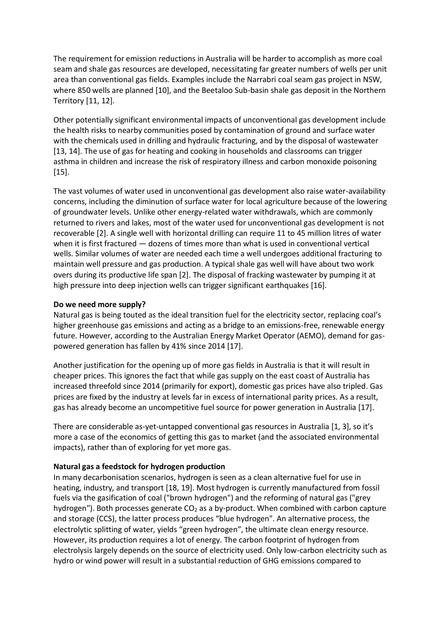The requirement for emission reductions in Australia will be harder to accomplish as more coal seam and shale gas resources are developed, necessitating far greater numbers of wells per unit area than conventional gas fields. Examples include the Narrabri coal seam gas project in NSW, where 850 wells are planned [10], and the Beetaloo Sub-basin shale gas deposit in the Northern Territory [11, 12].

Other potentially significant environmental impacts of unconventional gas development include the health risks to nearby communities posed by contamination of ground and surface water with the chemicals used in drilling and hydraulic fracturing, and by the disposal of wastewater [13, 14]. The use of gas for heating and cooking in households and classrooms can trigger asthma in children and increase the risk of respiratory illness and carbon monoxide poisoning [15].

The vast volumes of water used in unconventional gas development also raise water-availability concerns, including the diminution of surface water for local agriculture because of the lowering of groundwater levels. Unlike other energy-related water withdrawals, which are commonly returned to rivers and lakes, most of the water used for unconventional gas development is not recoverable [2]. A single well with horizontal drilling can require 11 to 45 million litres of water when it is first fractured — dozens of times more than what is used in conventional vertical wells. Similar volumes of water are needed each time a well undergoes additional fracturing to maintain well pressure and gas production. A typical shale gas well will have about two work overs during its productive life span [2]. The disposal of fracking wastewater by pumping it at high pressure into deep injection wells can trigger significant earthquakes [16].

# **Do we need more supply?**

Natural gas is being touted as the ideal transition fuel for the electricity sector, replacing coal's higher greenhouse gas emissions and acting as a bridge to an emissions-free, renewable energy future. However, according to the Australian Energy Market Operator (AEMO), demand for gaspowered generation has fallen by 41% since 2014 [17].

Another justification for the opening up of more gas fields in Australia is that it will result in cheaper prices. This ignores the fact that while gas supply on the east coast of Australia has increased threefold since 2014 (primarily for export), domestic gas prices have also tripled. Gas prices are fixed by the industry at levels far in excess of international parity prices. As a result, gas has already become an uncompetitive fuel source for power generation in Australia [17].

There are considerable as-yet-untapped conventional gas resources in Australia [1, 3], so it's more a case of the economics of getting this gas to market (and the associated environmental impacts), rather than of exploring for yet more gas.

#### **Natural gas a feedstock for hydrogen production**

In many decarbonisation scenarios, hydrogen is seen as a clean alternative fuel for use in heating, industry, and transport [18, 19]. Most hydrogen is currently manufactured from fossil fuels via the gasification of coal ("brown hydrogen") and the reforming of natural gas ("grey hydrogen"). Both processes generate  $CO<sub>2</sub>$  as a by-product. When combined with carbon capture and storage (CCS), the latter process produces "blue hydrogen". An alternative process, the electrolytic splitting of water, yields "green hydrogen", the ultimate clean energy resource. However, its production requires a lot of energy. The carbon footprint of hydrogen from electrolysis largely depends on the source of electricity used. Only low-carbon electricity such as hydro or wind power will result in a substantial reduction of GHG emissions compared to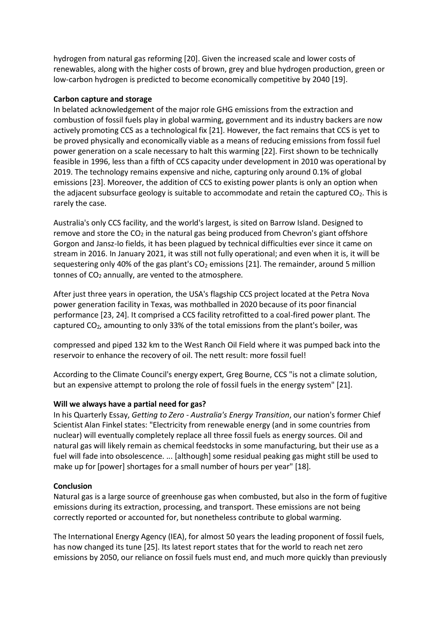hydrogen from natural gas reforming [20]. Given the increased scale and lower costs of renewables, along with the higher costs of brown, grey and blue hydrogen production, green or low-carbon hydrogen is predicted to become economically competitive by 2040 [19].

# **Carbon capture and storage**

In belated acknowledgement of the major role GHG emissions from the extraction and combustion of fossil fuels play in global warming, government and its industry backers are now actively promoting CCS as a technological fix [21]. However, the fact remains that CCS is yet to be proved physically and economically viable as a means of reducing emissions from fossil fuel power generation on a scale necessary to halt this warming [22]. First shown to be technically feasible in 1996, less than a fifth of CCS capacity under development in 2010 was operational by 2019. The technology remains expensive and niche, capturing only around 0.1% of global emissions [23]. Moreover, the addition of CCS to existing power plants is only an option when the adjacent subsurface geology is suitable to accommodate and retain the captured  $CO<sub>2</sub>$ . This is rarely the case.

Australia's only CCS facility, and the world's largest, is sited on Barrow Island. Designed to remove and store the  $CO<sub>2</sub>$  in the natural gas being produced from Chevron's giant offshore Gorgon and Jansz-Io fields, it has been plagued by technical difficulties ever since it came on stream in 2016. In January 2021, it was still not fully operational; and even when it is, it will be sequestering only 40% of the gas plant's  $CO<sub>2</sub>$  emissions [21]. The remainder, around 5 million tonnes of  $CO<sub>2</sub>$  annually, are vented to the atmosphere.

After just three years in operation, the USA's flagship CCS project located at the Petra Nova power generation facility in Texas, was mothballed in 2020 because of its poor financial performance [23, 24]. It comprised a CCS facility retrofitted to a coal-fired power plant. The captured CO2, amounting to only 33% of the total emissions from the plant's boiler, was

compressed and piped 132 km to the West Ranch Oil Field where it was pumped back into the reservoir to enhance the recovery of oil. The nett result: more fossil fuel!

According to the Climate Council's energy expert, Greg Bourne, CCS "is not a climate solution, but an expensive attempt to prolong the role of fossil fuels in the energy system" [21].

# **Will we always have a partial need for gas?**

In his Quarterly Essay, *Getting to Zero - Australia's Energy Transition*, our nation's former Chief Scientist Alan Finkel states: "Electricity from renewable energy (and in some countries from nuclear) will eventually completely replace all three fossil fuels as energy sources. Oil and natural gas will likely remain as chemical feedstocks in some manufacturing, but their use as a fuel will fade into obsolescence. ... [although] some residual peaking gas might still be used to make up for [power] shortages for a small number of hours per year" [18].

# **Conclusion**

Natural gas is a large source of greenhouse gas when combusted, but also in the form of fugitive emissions during its extraction, processing, and transport. These emissions are not being correctly reported or accounted for, but nonetheless contribute to global warming.

The International Energy Agency (IEA), for almost 50 years the leading proponent of fossil fuels, has now changed its tune [25]. Its latest report states that for the world to reach net zero emissions by 2050, our reliance on fossil fuels must end, and much more quickly than previously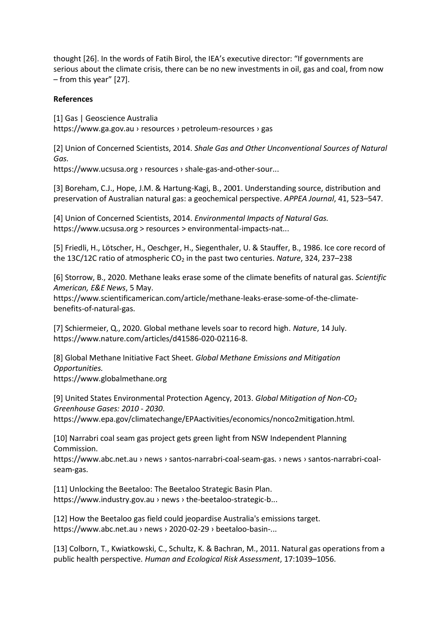thought [26]. In the words of Fatih Birol, the IEA's executive director: "If governments are serious about the climate crisis, there can be no new investments in oil, gas and coal, from now – from this year" [27].

# **References**

[1] Gas | Geoscience Australia https://www.ga.gov.au › resources › petroleum-resources › gas

[2] Union of Concerned Scientists, 2014. *Shale Gas and Other Unconventional Sources of Natural Gas.* 

https://www.ucsusa.org › resources › shale-gas-and-other-sour...

[3] Boreham, C.J., Hope, J.M. & Hartung-Kagi, B., 2001. Understanding source, distribution and preservation of Australian natural gas: a geochemical perspective. *APPEA Journal*, 41, 523–547.

[4] Union of Concerned Scientists, 2014. *Environmental Impacts of Natural Gas.*  https://www.ucsusa.org > resources > environmental-impacts-nat...

[5] Friedli, H., Lötscher, H., Oeschger, H., Siegenthaler, U. & Stauffer, B., 1986. Ice core record of the 13C/12C ratio of atmospheric CO<sub>2</sub> in the past two centuries. *Nature*, 324, 237–238

[6] Storrow, B., 2020. Methane leaks erase some of the climate benefits of natural gas. *Scientific American, E&E News*, 5 May.

https://www.scientificamerican.com/article/methane-leaks-erase-some-of-the-climatebenefits-of-natural-gas.

[7] Schiermeier, Q., 2020. Global methane levels soar to record high. *Nature*, 14 July. https://www.nature.com/articles/d41586-020-02116-8.

[8] Global Methane Initiative Fact Sheet. *Global Methane Emissions and Mitigation Opportunities.*  https://www.globalmethane.org

[9] United States Environmental Protection Agency, 2013. *Global Mitigation of Non-CO<sup>2</sup> Greenhouse Gases: 2010 - 2030*. https://www.epa.gov/climatechange/EPAactivities/economics/nonco2mitigation.html.

[10] Narrabri coal seam gas project gets green light from NSW Independent Planning Commission.

https://www.abc.net.au › news › santos-narrabri-coal-seam-gas. › news › santos-narrabri-coalseam-gas.

[11] Unlocking the Beetaloo: The Beetaloo Strategic Basin Plan. https://www.industry.gov.au › news › the-beetaloo-strategic-b...

[12] How the Beetaloo gas field could jeopardise Australia's emissions target. https://www.abc.net.au › news › 2020-02-29 › beetaloo-basin-...

[13] Colborn, T., Kwiatkowski, C., Schultz, K. & Bachran, M., 2011. Natural gas operations from a public health perspective. *Human and Ecological Risk Assessment*, 17:1039–1056.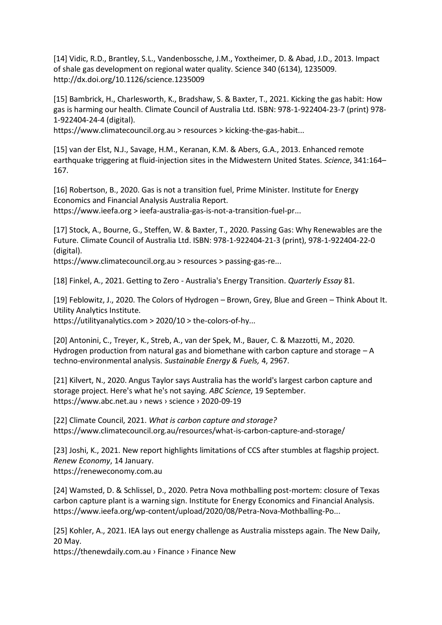[14] Vidic, R.D., Brantley, S.L., Vandenbossche, J.M., Yoxtheimer, D. & Abad, J.D., 2013. Impact of shale gas development on regional water quality. Science 340 (6134), 1235009. http://dx.doi.org/10.1126/science.1235009

[15] Bambrick, H., Charlesworth, K., Bradshaw, S. & Baxter, T., 2021. Kicking the gas habit: How gas is harming our health. Climate Council of Australia Ltd. ISBN: 978-1-922404-23-7 (print) 978- 1-922404-24-4 (digital).

https://www.climatecouncil.org.au > resources > kicking-the-gas-habit...

[15] van der Elst, N.J., Savage, H.M., Keranan, K.M. & Abers, G.A., 2013. Enhanced remote earthquake triggering at fluid-injection sites in the Midwestern United States. *Science*, 341:164– 167.

[16] Robertson, B., 2020. Gas is not a transition fuel, Prime Minister. Institute for Energy Economics and Financial Analysis Australia Report.

https://www.ieefa.org > ieefa-australia-gas-is-not-a-transition-fuel-pr...

[17] Stock, A., Bourne, G., Steffen, W. & Baxter, T., 2020. Passing Gas: Why Renewables are the Future. Climate Council of Australia Ltd. ISBN: 978-1-922404-21-3 (print), 978-1-922404-22-0 (digital).

https://www.climatecouncil.org.au > resources > passing-gas-re...

[18] Finkel, A., 2021. Getting to Zero - Australia's Energy Transition. *Quarterly Essay* 81.

[19] Feblowitz, J., 2020. The Colors of Hydrogen – Brown, Grey, Blue and Green – Think About It. Utility Analytics Institute. https://utilityanalytics.com > 2020/10 > the-colors-of-hy...

[20] Antonini, C., Treyer, K., Streb, A., van der Spek, M., Bauer, C. & Mazzotti, M., 2020. Hydrogen production from natural gas and biomethane with carbon capture and storage – A techno-environmental analysis. *Sustainable Energy & Fuels,* 4, 2967.

[21] Kilvert, N., 2020. Angus Taylor says Australia has the world's largest carbon capture and storage project. Here's what he's not saying. *ABC Science*, 19 September. https://www.abc.net.au › news › science › 2020-09-19

[22] Climate Council, 2021. *What is carbon capture and storage?*  https://www.climatecouncil.org.au/resources/what-is-carbon-capture-and-storage/

[23] Joshi, K., 2021. New report highlights limitations of CCS after stumbles at flagship project. *Renew Economy*, 14 January. https://reneweconomy.com.au

[24] Wamsted, D. & Schlissel, D., 2020. Petra Nova mothballing post-mortem: closure of Texas carbon capture plant is a warning sign. Institute for Energy Economics and Financial Analysis. https://www.ieefa.org/wp-content/upload/2020/08/Petra-Nova-Mothballing-Po...

[25] Kohler, A., 2021. IEA lays out energy challenge as Australia missteps again. The New Daily, 20 May.

https://thenewdaily.com.au › Finance › Finance New